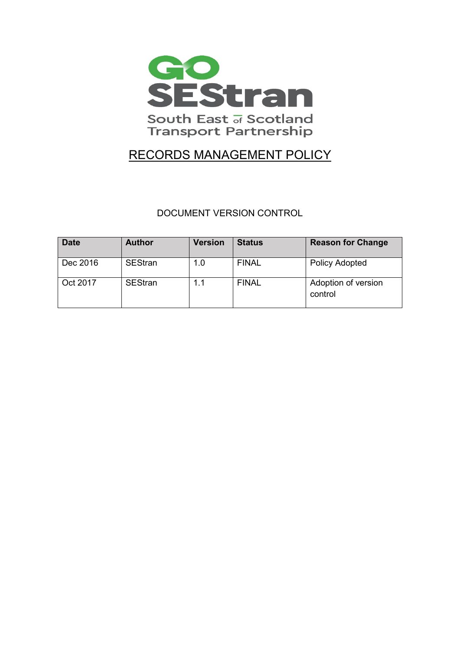

# RECORDS MANAGEMENT POLICY

DOCUMENT VERSION CONTROL

| <b>Date</b> | <b>Author</b>  | <b>Version</b> | <b>Status</b> | <b>Reason for Change</b>       |
|-------------|----------------|----------------|---------------|--------------------------------|
| Dec 2016    | <b>SEStran</b> | 1.0            | <b>FINAL</b>  | <b>Policy Adopted</b>          |
| Oct 2017    | <b>SEStran</b> | 1.1            | <b>FINAL</b>  | Adoption of version<br>control |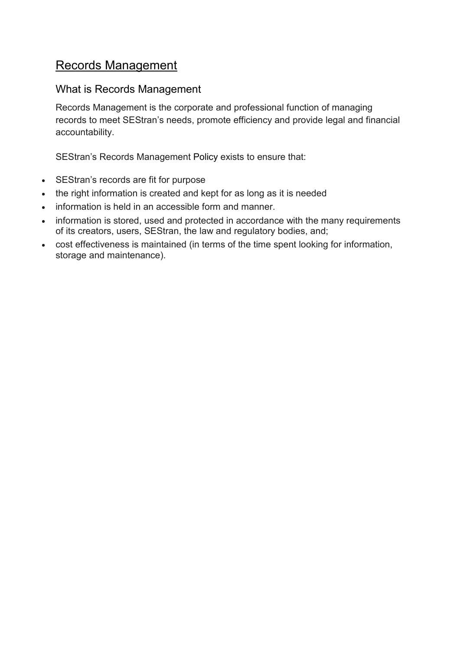## Records Management

### What is Records Management

Records Management is the corporate and professional function of managing records to meet SEStran's needs, promote efficiency and provide legal and financial accountability.

SEStran's Records Management [Policy](http://www.york.ac.uk/records-management/records/policy/) exists to ensure that:

- SEStran's records are fit for purpose
- the right information is created and kept for as long as it is needed
- information is held in an accessible form and manner.
- information is stored, used and protected in accordance with the many requirements of its creators, users, SEStran, the law and regulatory bodies, and;
- cost effectiveness is maintained (in terms of the time spent looking for information, storage and maintenance).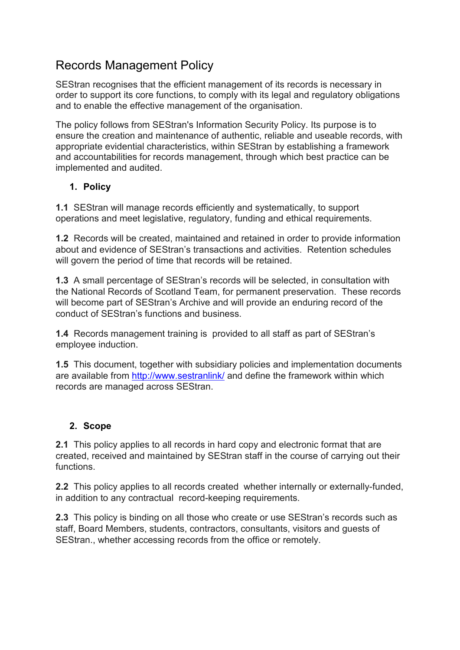## Records Management Policy

SEStran recognises that the efficient management of its records is necessary in order to support its core functions, to comply with its legal and regulatory obligations and to enable the effective management of the organisation.

The policy follows from SEStran's Information Security Policy. Its purpose is to ensure the creation and maintenance of authentic, reliable and useable records, with appropriate evidential characteristics, within SEStran by establishing a framework and accountabilities for records management, through which best practice can be implemented and audited.

### **1. Policy**

**1.1** SEStran will manage records efficiently and systematically, to support operations and meet legislative, regulatory, funding and ethical requirements.

**1.2** Records will be created, maintained and retained in order to provide information about and evidence of SEStran's transactions and activities. Retention schedules will govern the period of time that records will be retained.

**1.3** A small percentage of SEStran's records will be selected, in consultation with the National Records of Scotland Team, for permanent preservation. These records will become part of SEStran's Archive and will provide an enduring record of the conduct of SEStran's functions and business.

**1.4** Records management training is provided to all staff as part of SEStran's employee induction.

**1.5** This document, together with subsidiary policies and implementation documents are available from <http://www.sestranlink/> and define the framework within which records are managed across SEStran.

## **2. Scope**

**2.1** This policy applies to all records in hard copy and electronic format that are created, received and maintained by SEStran staff in the course of carrying out their functions.

**2.2** This policy applies to all records created whether internally or externally-funded, in addition to any contractual record-keeping requirements.

**2.3** This policy is binding on all those who create or use SEStran's records such as staff, Board Members, students, contractors, consultants, visitors and guests of SEStran., whether accessing records from the office or remotely.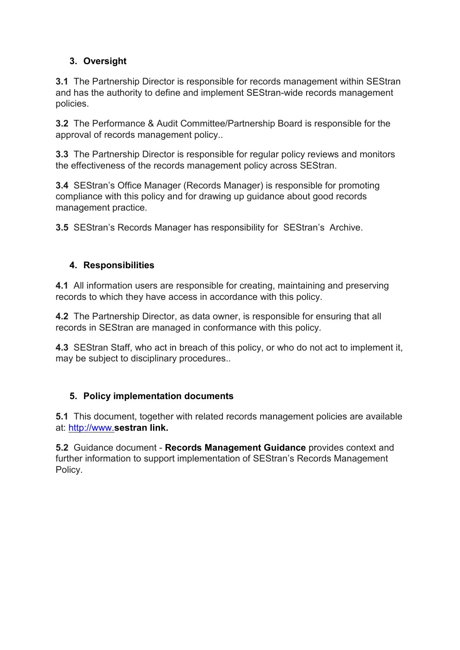### **3. Oversight**

**3.1** The Partnership Director is responsible for records management within SEStran and has the authority to define and implement SEStran-wide records management policies.

**3.2** The Performance & Audit Committee/Partnership Board is responsible for the approval of records management policy..

**3.3** The Partnership Director is responsible for regular policy reviews and monitors the effectiveness of the records management policy across SEStran.

**3.4** SEStran's Office Manager (Records Manager) is responsible for promoting compliance with this policy and for drawing up guidance about good records management practice.

**3.5** SEStran's Records Manager has responsibility for SEStran's Archive.

### **4. Responsibilities**

**4.1** All information users are responsible for creating, maintaining and preserving records to which they have access in accordance with this policy.

**4.2** The Partnership Director, as data owner, is responsible for ensuring that all records in SEStran are managed in conformance with this policy.

**4.3** SEStran Staff, who act in breach of this policy, or who do not act to implement it, may be subject to disciplinary procedures..

#### **5. Policy implementation documents**

**5.1** This document, together with related records management policies are available at: [http://www.](http://www./)**sestran link.**

**5.2** Guidance document - **[Records Management Guidance](http://www.york.ac.uk/records-management/records/policy/records-management-guidance/)** provides context and further information to support implementation of SEStran's Records Management Policy.